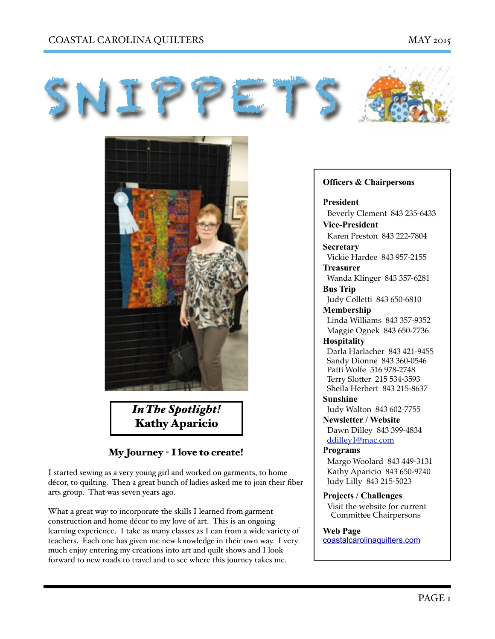## COASTAL CAROLINA QUILTERS MAY 2015





*In The Spotlight!* Kathy Aparicio

# My Journey - I love to create!

I started sewing as a very young girl and worked on garments, to home décor, to quilting. Then a great bunch of ladies asked me to join their fiber arts group. That was seven years ago.

What a great way to incorporate the skills I learned from garment construction and home décor to my love of art. This is an ongoing learning experience. I take as many classes as I can from a wide variety of teachers. Each one has given me new knowledge in their own way. I very much enjoy entering my creations into art and quilt shows and I look forward to new roads to travel and to see where this journey takes me.

### **Officers & Chairpersons**

**President** Beverly Clement 843 235-6433 **Vice-President** 

Karen Preston 843 222-7804 **Secretary** 

Vickie Hardee 843 957-2155 **Treasurer** 

Wanda Klinger 843 357-6281

**Bus Trip** 

Judy Colletti 843 650-6810

**Membership** 

 Linda Williams 843 357-9352 Maggie Ognek 843 650-7736

## **Hospitality**

 Darla Harlacher 843 421-9455 Sandy Dionne 843 360-0546 Patti Wolfe 516 978-2748 Terry Slotter 215 534-3593 Sheila Herbert 843 215-8637

**Sunshine**  Judy Walton 843 602-7755

**Newsletter / Website** Dawn Dilley 843 399-4834 [ddilley1@mac.com](mailto:ddilley1@mac.com)

#### **Programs**

Margo Woolard 843 449-3131 Kathy Aparicio 843 650-9740 Judy Lilly 843 215-5023

**Projects / Challenges**  Visit the website for current Committee Chairpersons

#### **Web Page**

[coastalcarolinaquilters.com](http://coastalcarolinaquilters.com)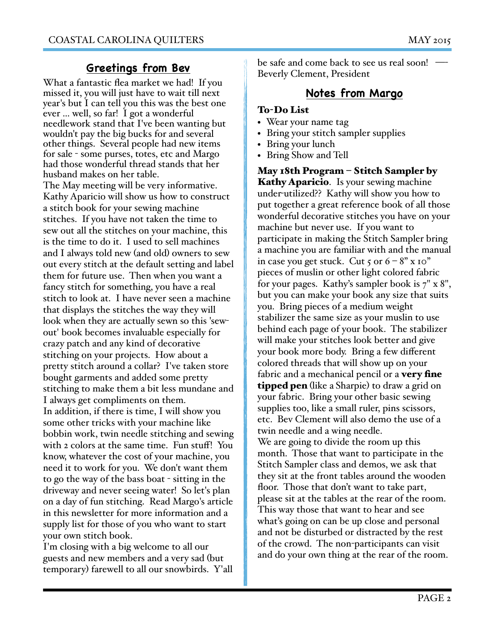# **Greetings from Bev**

What a fantastic flea market we had! If you missed it, you will just have to wait till next year's but I can tell you this was the best one ever ... well, so far! I got a wonderful needlework stand that I've been wanting but wouldn't pay the big bucks for and several other things. Several people had new items for sale - some purses, totes, etc and Margo had those wonderful thread stands that her husband makes on her table.

The May meeting will be very informative. Kathy Aparicio will show us how to construct a stitch book for your sewing machine stitches. If you have not taken the time to sew out all the stitches on your machine, this is the time to do it. I used to sell machines and I always told new (and old) owners to sew out every stitch at the default setting and label them for future use. Then when you want a fancy stitch for something, you have a real stitch to look at. I have never seen a machine that displays the stitches the way they will look when they are actually sewn so this 'sewout' book becomes invaluable especially for crazy patch and any kind of decorative stitching on your projects. How about a pretty stitch around a collar? I've taken store bought garments and added some pretty stitching to make them a bit less mundane and I always get compliments on them. In addition, if there is time, I will show you some other tricks with your machine like bobbin work, twin needle stitching and sewing with 2 colors at the same time. Fun stuff! You know, whatever the cost of your machine, you need it to work for you. We don't want them to go the way of the bass boat - sitting in the driveway and never seeing water! So let's plan on a day of fun stitching. Read Margo's article in this newsletter for more information and a supply list for those of you who want to start your own stitch book.

I'm closing with a big welcome to all our guests and new members and a very sad (but temporary) farewell to all our snowbirds. Y'all be safe and come back to see us real soon! Beverly Clement, President

# **Notes from Margo**

## To-Do List

- Wear your name tag
- Bring your stitch sampler supplies
- Bring your lunch
- Bring Show and Tell

May 18th Program – Stitch Sampler by Kathy Aparicio. Is your sewing machine under-utilized?? Kathy will show you how to put together a great reference book of all those wonderful decorative stitches you have on your machine but never use. If you want to participate in making the Stitch Sampler bring a machine you are familiar with and the manual in case you get stuck. Cut  $5$  or  $6 - 8"$  x 10" pieces of muslin or other light colored fabric for your pages. Kathy's sampler book is 7" x 8", but you can make your book any size that suits you. Bring pieces of a medium weight stabilizer the same size as your muslin to use behind each page of your book. The stabilizer will make your stitches look better and give your book more body. Bring a few different colored threads that will show up on your fabric and a mechanical pencil or a **very fine tipped pen** (like a Sharpie) to draw a grid on your fabric. Bring your other basic sewing supplies too, like a small ruler, pins scissors, etc. Bev Clement will also demo the use of a twin needle and a wing needle. We are going to divide the room up this month. Those that want to participate in the Stitch Sampler class and demos, we ask that they sit at the front tables around the wooden floor. Those that don't want to take part, please sit at the tables at the rear of the room. This way those that want to hear and see what's going on can be up close and personal and not be disturbed or distracted by the rest of the crowd. The non-participants can visit and do your own thing at the rear of the room.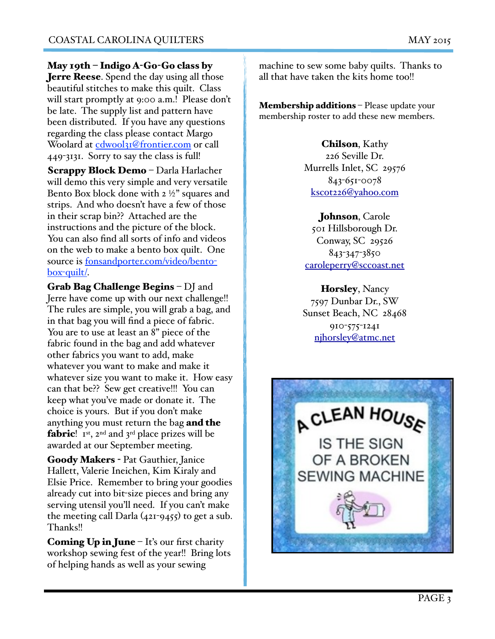May 19th – Indigo A-Go-Go class by **Jerre Reese.** Spend the day using all those beautiful stitches to make this quilt. Class will start promptly at 9:00 a.m.! Please don't be late. The supply list and pattern have been distributed. If you have any questions regarding the class please contact Margo Woolard at [cdwool31@frontier.com](mailto:cdwool31@frontier.com) or call 449-3131. Sorry to say the class is full!

Scrappy Block Demo – Darla Harlacher will demo this very simple and very versatile Bento Box block done with 2 ½" squares and strips. And who doesn't have a few of those in their scrap bin?? Attached are the instructions and the picture of the block. You can also find all sorts of info and videos on the web to make a bento box quilt. One [source is fonsandporter.com/video/bento](http://fonsandporter.com/video/bento-box-quilt/)box-quilt/.

Grab Bag Challenge Begins – DJ and Jerre have come up with our next challenge!! The rules are simple, you will grab a bag, and in that bag you will find a piece of fabric. You are to use at least an 8" piece of the fabric found in the bag and add whatever other fabrics you want to add, make whatever you want to make and make it whatever size you want to make it. How easy can that be?? Sew get creative!!! You can keep what you've made or donate it. The choice is yours. But if you don't make anything you must return the bag and the **fabric**!  $I^{st}$ ,  $2^{nd}$  and  $3^{rd}$  place prizes will be awarded at our September meeting.

Goody Makers - Pat Gauthier, Janice Hallett, Valerie Ineichen, Kim Kiraly and Elsie Price. Remember to bring your goodies already cut into bit-size pieces and bring any serving utensil you'll need. If you can't make the meeting call Darla  $(42I-9455)$  to get a sub. Thanks!!

**Coming Up in June – It's our first charity** workshop sewing fest of the year!! Bring lots of helping hands as well as your sewing

machine to sew some baby quilts. Thanks to all that have taken the kits home too!!

Membership additions - Please update your membership roster to add these new members.

> Chilson, Kathy 226 Seville Dr. Murrells Inlet, SC 29576 843-651-0078 [kscot226@yahoo.com](mailto:kscot226@yahoo.com)

Johnson, Carole 501 Hillsborough Dr. Conway, SC 29526 843-347-3850 [caroleperry@sccoast.net](mailto:caroleperry@sccoast.net)

Horsley, Nancy 7597 Dunbar Dr., SW Sunset Beach, NC 28468 910-575-1241 [njhorsley@atmc.net](mailto:njhorsley@atmc.net)

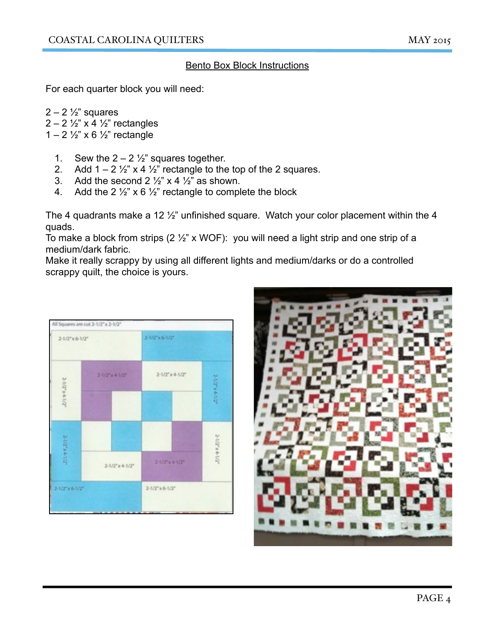## Bento Box Block Instructions

For each quarter block you will need:

 $2 - 2 \frac{1}{2}$  squares  $2 - 2 \frac{1}{2}$ " x 4  $\frac{1}{2}$ " rectangles 1 – 2  $\frac{1}{2}$ " x 6  $\frac{1}{2}$ " rectangle

- 1. Sew the  $2 2 \frac{1}{2}$  squares together.
- 2. Add  $1 2 \frac{1}{2}$ " x 4  $\frac{1}{2}$ " rectangle to the top of the 2 squares.
- 3. Add the second  $2\frac{1}{2}$  x 4  $\frac{1}{2}$  as shown.
- 4. Add the 2  $\frac{1}{2}$ " x 6  $\frac{1}{2}$ " rectangle to complete the block

The 4 quadrants make a 12 ½" unfinished square. Watch your color placement within the 4 quads.

To make a block from strips (2  $\frac{1}{2}$ " x WOF): you will need a light strip and one strip of a medium/dark fabric.

Make it really scrappy by using all different lights and medium/darks or do a controlled scrappy quilt, the choice is yours.



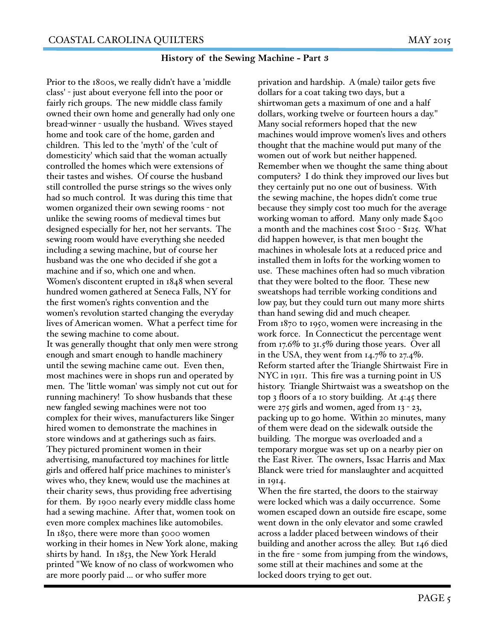### **History of the Sewing Machine - Part 3**

Prior to the 1800s, we really didn't have a 'middle class' - just about everyone fell into the poor or fairly rich groups. The new middle class family owned their own home and generally had only one bread-winner - usually the husband. Wives stayed home and took care of the home, garden and children. This led to the 'myth' of the 'cult of domesticity' which said that the woman actually controlled the homes which were extensions of their tastes and wishes. Of course the husband still controlled the purse strings so the wives only had so much control. It was during this time that women organized their own sewing rooms - not unlike the sewing rooms of medieval times but designed especially for her, not her servants. The sewing room would have everything she needed including a sewing machine, but of course her husband was the one who decided if she got a machine and if so, which one and when. Women's discontent erupted in 1848 when several hundred women gathered at Seneca Falls, NY for the first women's rights convention and the women's revolution started changing the everyday lives of American women. What a perfect time for the sewing machine to come about. It was generally thought that only men were strong enough and smart enough to handle machinery until the sewing machine came out. Even then, most machines were in shops run and operated by men. The 'little woman' was simply not cut out for running machinery! To show husbands that these new fangled sewing machines were not too complex for their wives, manufacturers like Singer hired women to demonstrate the machines in store windows and at gatherings such as fairs. They pictured prominent women in their advertising, manufactured toy machines for little girls and offered half price machines to minister's wives who, they knew, would use the machines at their charity sews, thus providing free advertising for them. By 1900 nearly every middle class home had a sewing machine. After that, women took on even more complex machines like automobiles. In 1850, there were more than 5000 women working in their homes in New York alone, making shirts by hand. In 1853, the New York Herald printed "We know of no class of workwomen who are more poorly paid ... or who suffer more

privation and hardship. A (male) tailor gets five dollars for a coat taking two days, but a shirtwoman gets a maximum of one and a half dollars, working twelve or fourteen hours a day." Many social reformers hoped that the new machines would improve women's lives and others thought that the machine would put many of the women out of work but neither happened. Remember when we thought the same thing about computers? I do think they improved our lives but they certainly put no one out of business. With the sewing machine, the hopes didn't come true because they simply cost too much for the average working woman to afford. Many only made \$400 a month and the machines cost \$100 - \$125. What did happen however, is that men bought the machines in wholesale lots at a reduced price and installed them in lofts for the working women to use. These machines often had so much vibration that they were bolted to the floor. These new sweatshops had terrible working conditions and low pay, but they could turn out many more shirts than hand sewing did and much cheaper. From 1870 to 1950, women were increasing in the work force. In Connecticut the percentage went from 17.6% to 31.5% during those years. Over all in the USA, they went from  $14.7\%$  to  $27.4\%$ . Reform started after the Triangle Shirtwaist Fire in NYC in 1911. This fire was a turning point in US history. Triangle Shirtwaist was a sweatshop on the top 3 floors of a 10 story building. At 4:45 there were 275 girls and women, aged from 13 - 23, packing up to go home. Within 20 minutes, many of them were dead on the sidewalk outside the building. The morgue was overloaded and a temporary morgue was set up on a nearby pier on the East River. The owners, Issac Harris and Max Blanck were tried for manslaughter and acquitted in 1914.

When the fire started, the doors to the stairway were locked which was a daily occurrence. Some women escaped down an outside fire escape, some went down in the only elevator and some crawled across a ladder placed between windows of their building and another across the alley. But 146 died in the fire - some from jumping from the windows, some still at their machines and some at the locked doors trying to get out.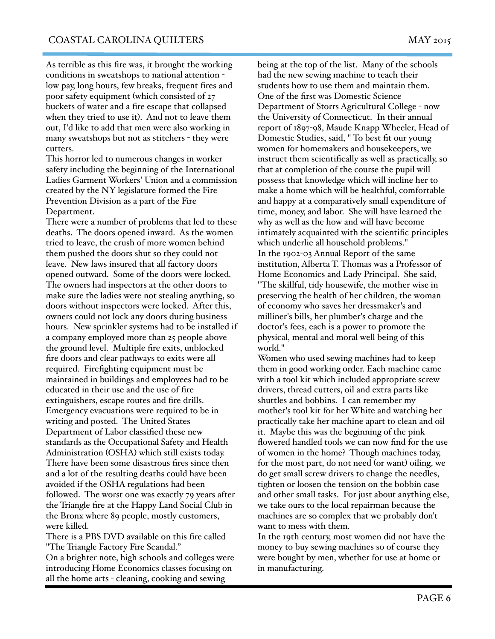As terrible as this fire was, it brought the working conditions in sweatshops to national attention low pay, long hours, few breaks, frequent fires and poor safety equipment (which consisted of 27 buckets of water and a fire escape that collapsed when they tried to use it). And not to leave them out, I'd like to add that men were also working in many sweatshops but not as stitchers - they were cutters.

This horror led to numerous changes in worker safety including the beginning of the International Ladies Garment Workers' Union and a commission created by the NY legislature formed the Fire Prevention Division as a part of the Fire Department.

There were a number of problems that led to these deaths. The doors opened inward. As the women tried to leave, the crush of more women behind them pushed the doors shut so they could not leave. New laws insured that all factory doors opened outward. Some of the doors were locked. The owners had inspectors at the other doors to make sure the ladies were not stealing anything, so doors without inspectors were locked. After this, owners could not lock any doors during business hours. New sprinkler systems had to be installed if a company employed more than 25 people above the ground level. Multiple fire exits, unblocked fire doors and clear pathways to exits were all required. Firefighting equipment must be maintained in buildings and employees had to be educated in their use and the use of fire extinguishers, escape routes and fire drills. Emergency evacuations were required to be in writing and posted. The United States Department of Labor classified these new standards as the Occupational Safety and Health Administration (OSHA) which still exists today. There have been some disastrous fires since then and a lot of the resulting deaths could have been avoided if the OSHA regulations had been followed. The worst one was exactly 79 years after the Triangle fire at the Happy Land Social Club in the Bronx where 89 people, mostly customers, were killed.

There is a PBS DVD available on this fire called "The Triangle Factory Fire Scandal."

On a brighter note, high schools and colleges were introducing Home Economics classes focusing on all the home arts - cleaning, cooking and sewing

being at the top of the list. Many of the schools had the new sewing machine to teach their students how to use them and maintain them. One of the first was Domestic Science Department of Storrs Agricultural College - now the University of Connecticut. In their annual report of 1897-98, Maude Knapp Wheeler, Head of Domestic Studies, said, " To best fit our young women for homemakers and housekeepers, we instruct them scientifically as well as practically, so that at completion of the course the pupil will possess that knowledge which will incline her to make a home which will be healthful, comfortable and happy at a comparatively small expenditure of time, money, and labor. She will have learned the why as well as the how and will have become intimately acquainted with the scientific principles which underlie all household problems." In the 1902-03 Annual Report of the same institution, Alberta T. Thomas was a Professor of Home Economics and Lady Principal. She said, "The skillful, tidy housewife, the mother wise in preserving the health of her children, the woman of economy who saves her dressmaker's and milliner's bills, her plumber's charge and the doctor's fees, each is a power to promote the physical, mental and moral well being of this world."

Women who used sewing machines had to keep them in good working order. Each machine came with a tool kit which included appropriate screw drivers, thread cutters, oil and extra parts like shuttles and bobbins. I can remember my mother's tool kit for her White and watching her practically take her machine apart to clean and oil it. Maybe this was the beginning of the pink flowered handled tools we can now find for the use of women in the home? Though machines today, for the most part, do not need (or want) oiling, we do get small screw drivers to change the needles, tighten or loosen the tension on the bobbin case and other small tasks. For just about anything else, we take ours to the local repairman because the machines are so complex that we probably don't want to mess with them.

In the 19th century, most women did not have the money to buy sewing machines so of course they were bought by men, whether for use at home or in manufacturing.